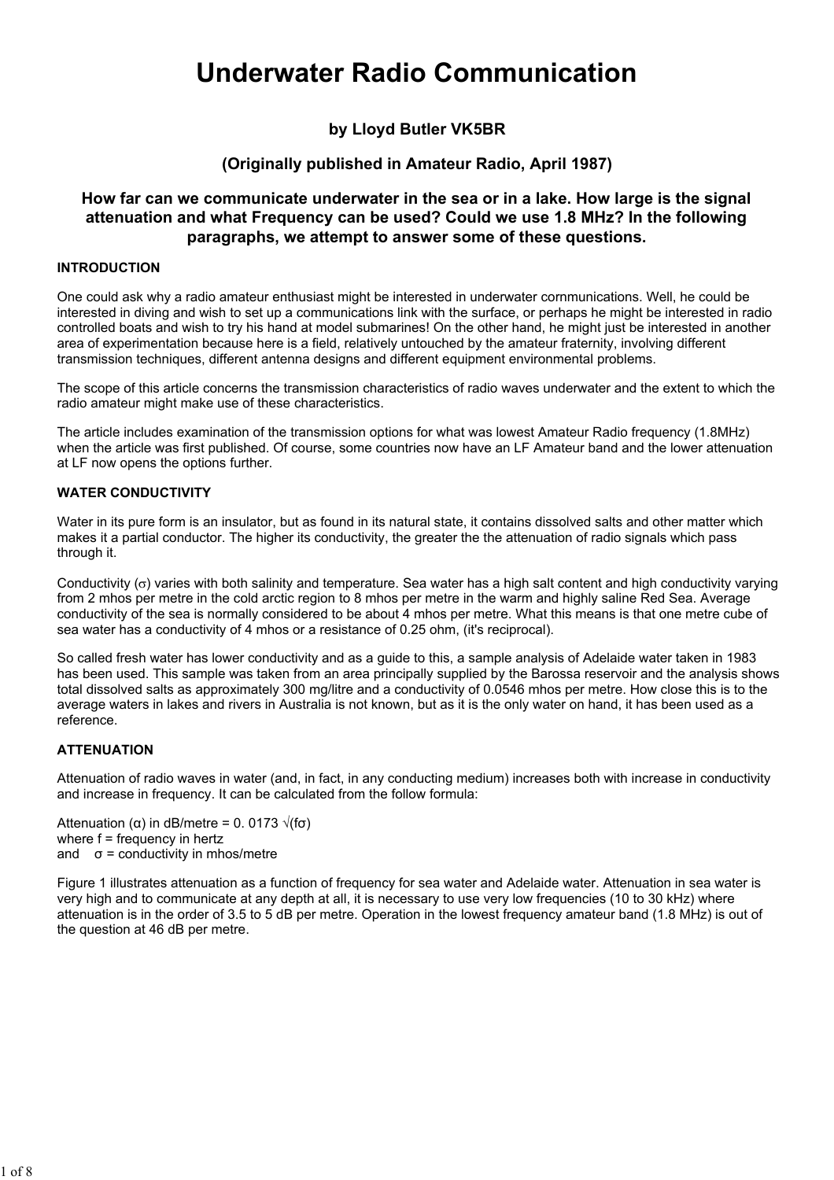# Underwater Radio Communication

# by Lloyd Butler VK5BR

# (Originally published in Amateur Radio, April 1987)

# How far can we communicate underwater in the sea or in a lake. How large is the signal attenuation and what Frequency can be used? Could we use 1.8 MHz? In the following paragraphs, we attempt to answer some of these questions.

#### INTRODUCTION

One could ask why a radio amateur enthusiast might be interested in underwater cornmunications. Well, he could be interested in diving and wish to set up a communications link with the surface, or perhaps he might be interested in radio controlled boats and wish to try his hand at model submarines! On the other hand, he might just be interested in another area of experimentation because here is a field, relatively untouched by the amateur fraternity, involving different transmission techniques, different antenna designs and different equipment environmental problems.

The scope of this article concerns the transmission characteristics of radio waves underwater and the extent to which the radio amateur might make use of these characteristics.

The article includes examination of the transmission options for what was lowest Amateur Radio frequency (1.8MHz) when the article was first published. Of course, some countries now have an LF Amateur band and the lower attenuation at LF now opens the options further.

## WATER CONDUCTIVITY

Water in its pure form is an insulator, but as found in its natural state, it contains dissolved salts and other matter which makes it a partial conductor. The higher its conductivity, the greater the the attenuation of radio signals which pass through it.

Conductivity (σ) varies with both salinity and temperature. Sea water has a high salt content and high conductivity varying from 2 mhos per metre in the cold arctic region to 8 mhos per metre in the warm and highly saline Red Sea. Average conductivity of the sea is normally considered to be about 4 mhos per metre. What this means is that one metre cube of sea water has a conductivity of 4 mhos or a resistance of 0.25 ohm, (it's reciprocal).

So called fresh water has lower conductivity and as a guide to this, a sample analysis of Adelaide water taken in 1983 has been used. This sample was taken from an area principally supplied by the Barossa reservoir and the analysis shows total dissolved salts as approximately 300 mg/litre and a conductivity of 0.0546 mhos per metre. How close this is to the average waters in lakes and rivers in Australia is not known, but as it is the only water on hand, it has been used as a reference.

#### **ATTENUATION**

Attenuation of radio waves in water (and, in fact, in any conducting medium) increases both with increase in conductivity and increase in frequency. It can be calculated from the follow formula:

Attenuation (α) in dB/metre = 0. 0173  $\sqrt{(f\sigma)}$ where f = frequency in hertz and  $\sigma$  = conductivity in mhos/metre

Figure 1 illustrates attenuation as a function of frequency for sea water and Adelaide water. Attenuation in sea water is very high and to communicate at any depth at all, it is necessary to use very low frequencies (10 to 30 kHz) where attenuation is in the order of 3.5 to 5 dB per metre. Operation in the lowest frequency amateur band (1.8 MHz) is out of the question at 46 dB per metre.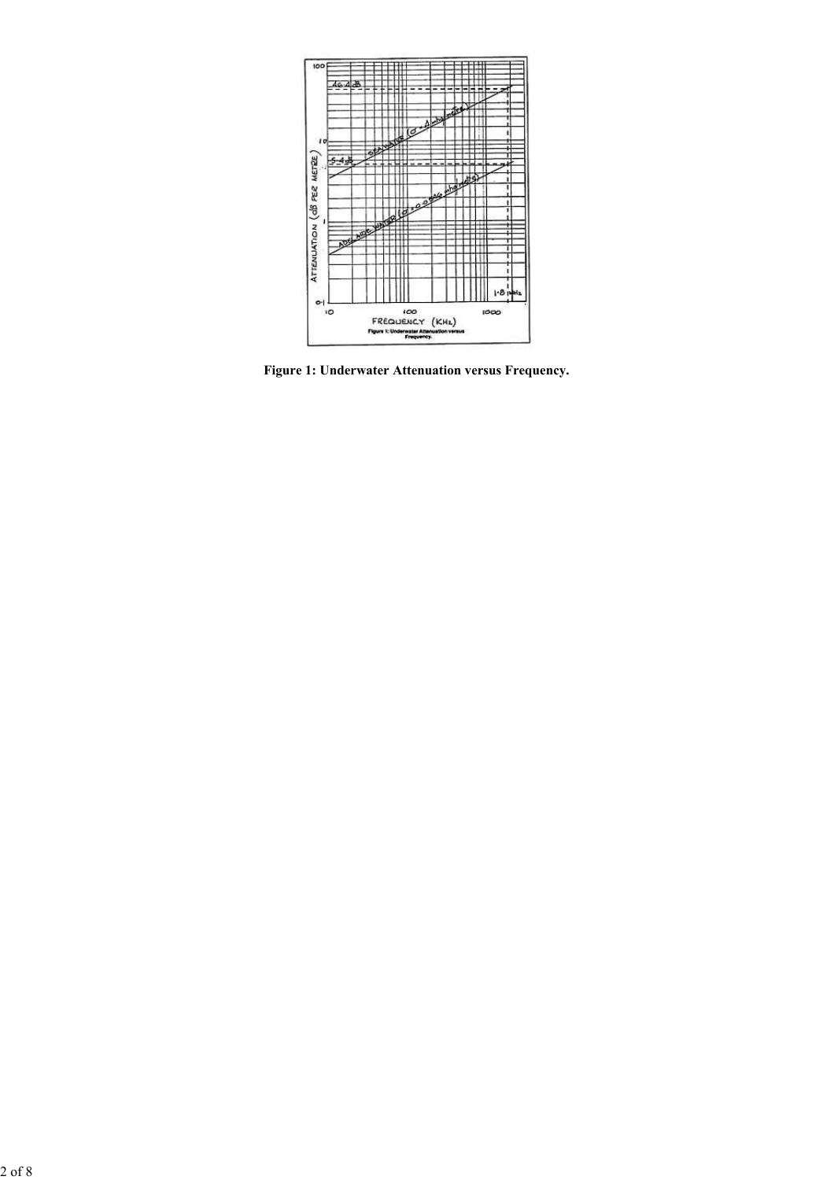

Figure 1: Underwater Attenuation versus Frequency.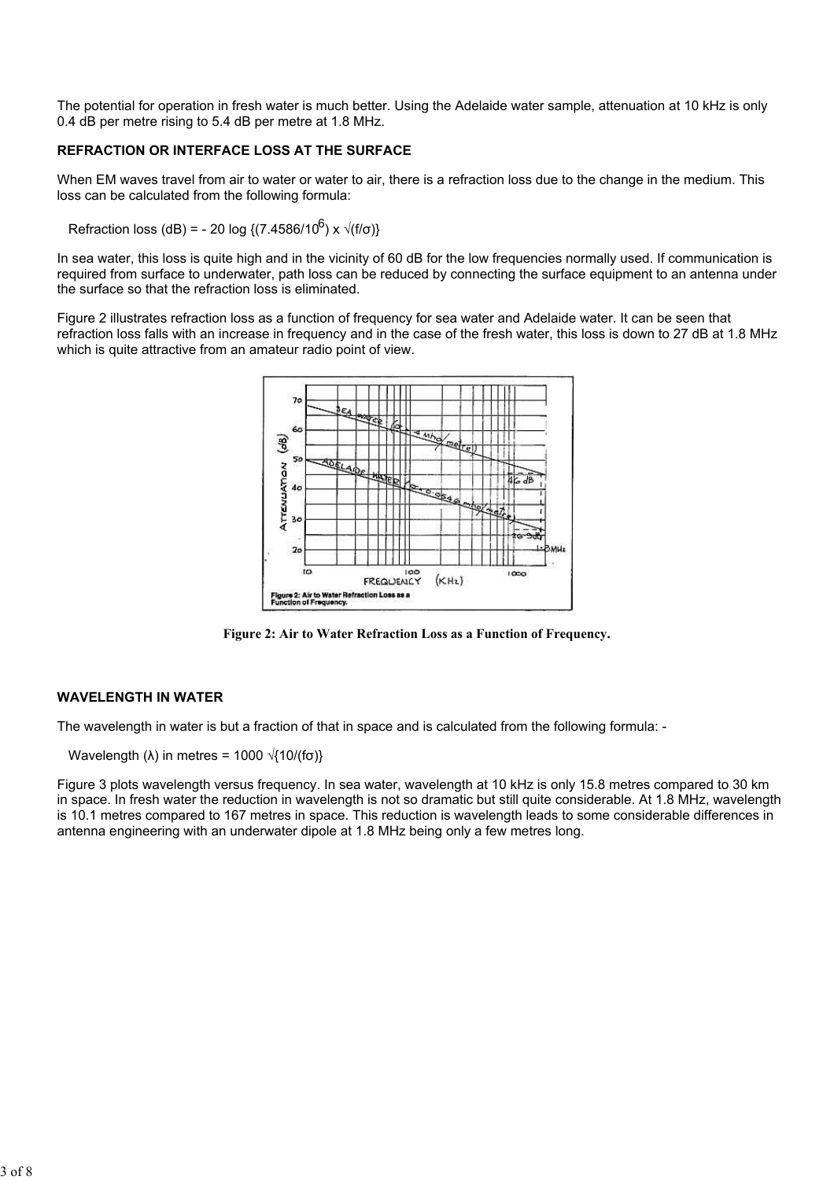The potential for operation in fresh water is much better. Using the Adelaide water sample, attenuation at 10 kHz is only 0.4 dB per metre rising to 5.4 dB per metre at 1.8 MHz.

# REFRACTION OR INTERFACE LOSS AT THE SURFACE

When EM waves travel from air to water or water to air, there is a refraction loss due to the change in the medium. This loss can be calculated from the following formula:

Refraction loss (dB) = - 20 log {(7.4586/10<sup>6</sup>) x  $\sqrt{(f/\sigma)}$ }

In sea water, this loss is quite high and in the vicinity of 60 dB for the low frequencies normally used. If communication is required from surface to underwater, path loss can be reduced by connecting the surface equipment to an antenna under the surface so that the refraction loss is eliminated.

Figure 2 illustrates refraction loss as a function of frequency for sea water and Adelaide water. It can be seen that refraction loss falls with an increase in frequency and in the case of the fresh water, this loss is down to 27 dB at 1.8 MHz which is quite attractive from an amateur radio point of view.



Figure 2: Air to Water Refraction Loss as a Function of Frequency.

## WAVELENGTH IN WATER

The wavelength in water is but a fraction of that in space and is calculated from the following formula: -

Wavelength ( $\lambda$ ) in metres = 1000  $\sqrt{(10/(\text{fo}))}$ 

Figure 3 plots wavelength versus frequency. In sea water, wavelength at 10 kHz is only 15.8 metres compared to 30 km in space. In fresh water the reduction in wavelength is not so dramatic but still quite considerable. At 1.8 MHz, wavelength is 10.1 metres compared to 167 metres in space. This reduction is wavelength leads to some considerable differences in antenna engineering with an underwater dipole at 1.8 MHz being only a few metres long.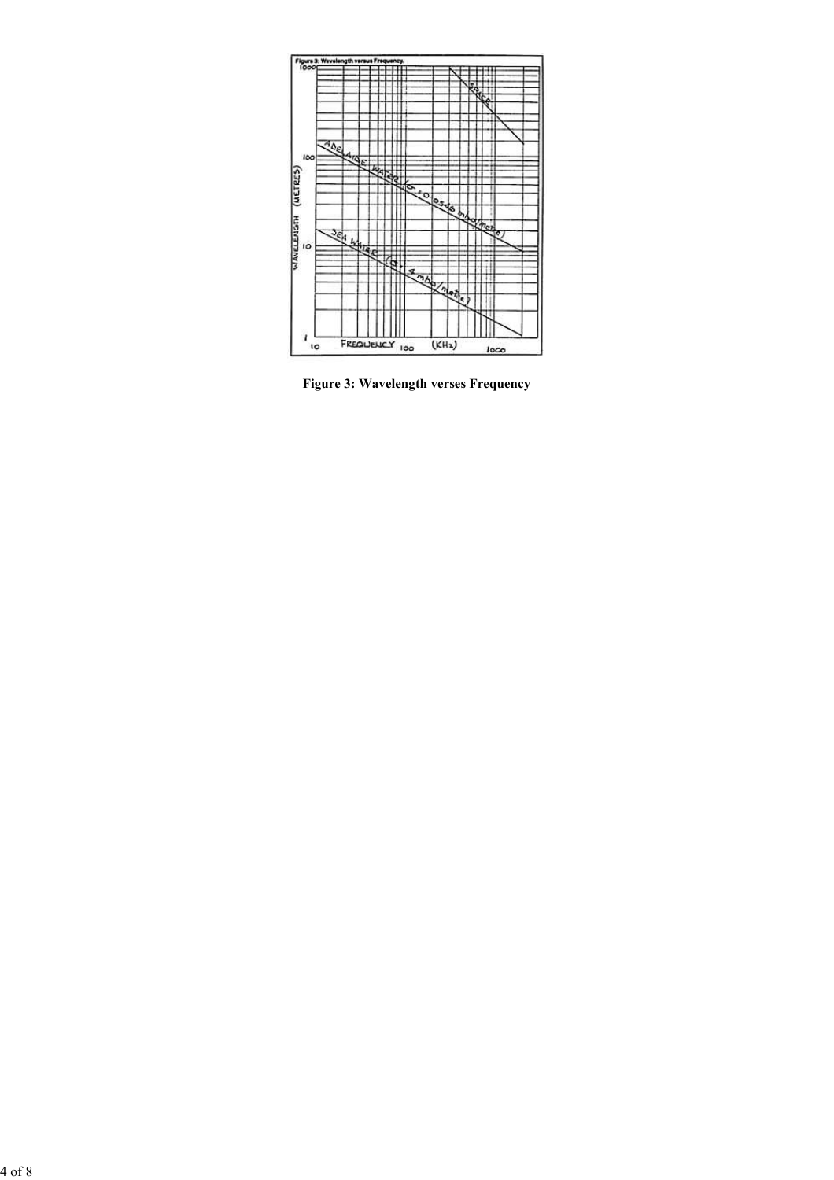

Figure 3: Wavelength verses Frequency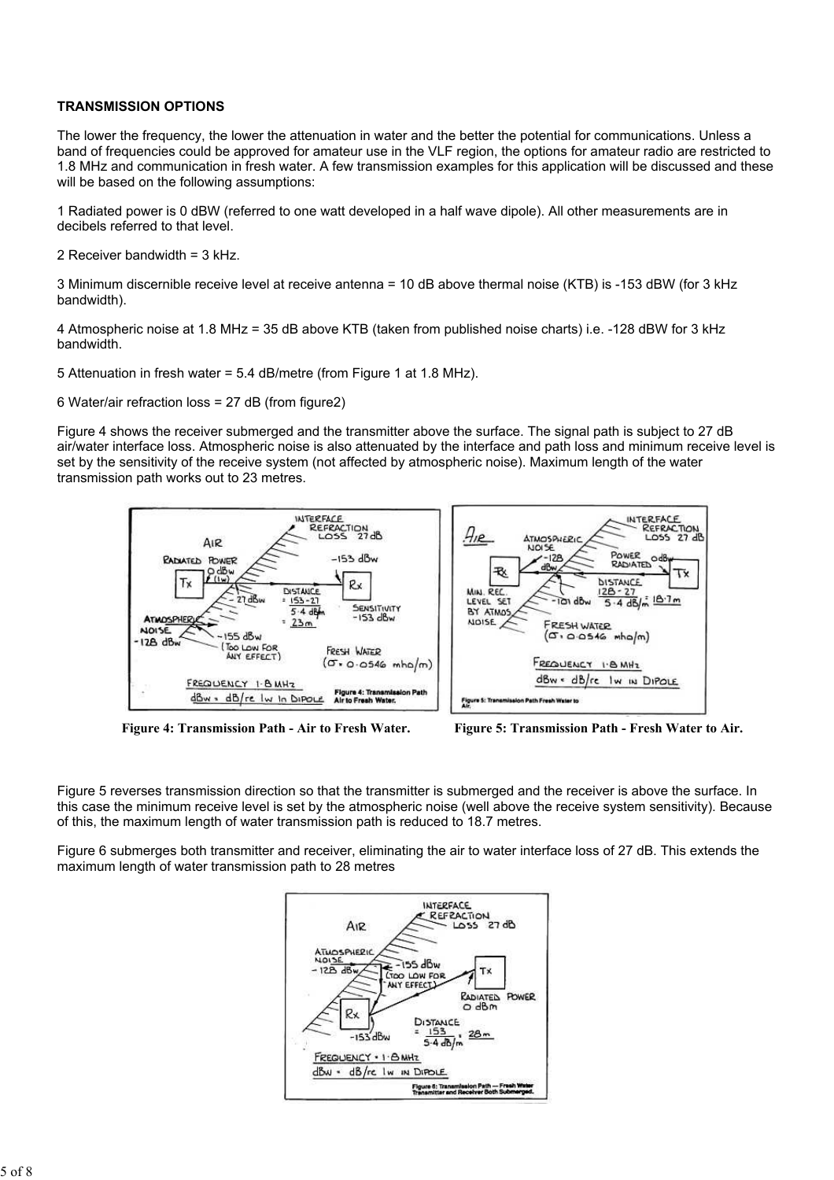## TRANSMISSION OPTIONS

The lower the frequency, the lower the attenuation in water and the better the potential for communications. Unless a band of frequencies could be approved for amateur use in the VLF region, the options for amateur radio are restricted to 1.8 MHz and communication in fresh water. A few transmission examples for this application will be discussed and these will be based on the following assumptions:

1 Radiated power is 0 dBW (referred to one watt developed in a half wave dipole). All other measurements are in decibels referred to that level.

2 Receiver bandwidth = 3 kHz.

3 Minimum discernible receive level at receive antenna = 10 dB above thermal noise (KTB) is -153 dBW (for 3 kHz bandwidth).

4 Atmospheric noise at 1.8 MHz = 35 dB above KTB (taken from published noise charts) i.e. -128 dBW for 3 kHz bandwidth.

5 Attenuation in fresh water = 5.4 dB/metre (from Figure 1 at 1.8 MHz).

6 Water/air refraction loss = 27 dB (from figure2)

Figure 4 shows the receiver submerged and the transmitter above the surface. The signal path is subject to 27 dB air/water interface loss. Atmospheric noise is also attenuated by the interface and path loss and minimum receive level is set by the sensitivity of the receive system (not affected by atmospheric noise). Maximum length of the water transmission path works out to 23 metres.



Figure 4: Transmission Path - Air to Fresh Water. Figure 5: Transmission Path - Fresh Water to Air.

Figure 5 reverses transmission direction so that the transmitter is submerged and the receiver is above the surface. In this case the minimum receive level is set by the atmospheric noise (well above the receive system sensitivity). Because of this, the maximum length of water transmission path is reduced to 18.7 metres.

Figure 6 submerges both transmitter and receiver, eliminating the air to water interface loss of 27 dB. This extends the maximum length of water transmission path to 28 metres

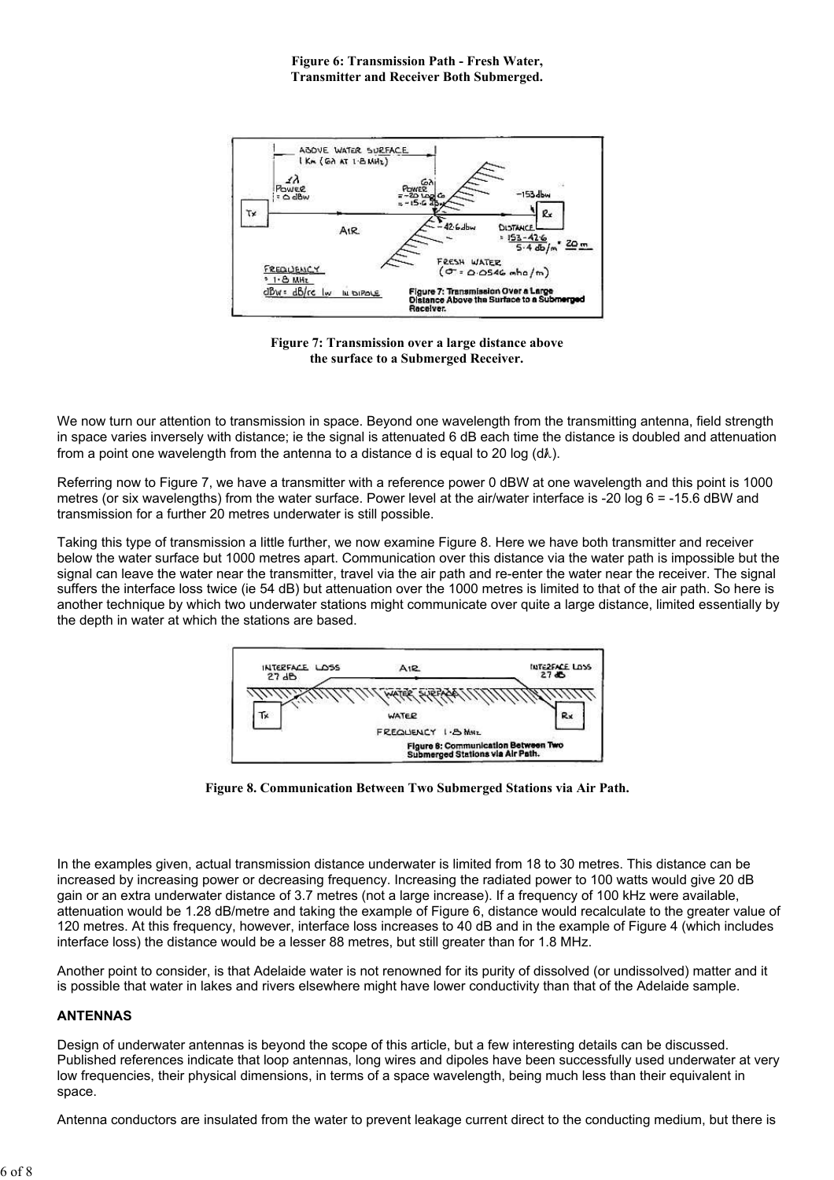

Figure 7: Transmission over a large distance above the surface to a Submerged Receiver.

We now turn our attention to transmission in space. Beyond one wavelength from the transmitting antenna, field strength in space varies inversely with distance; ie the signal is attenuated 6 dB each time the distance is doubled and attenuation from a point one wavelength from the antenna to a distance d is equal to 20 log (d).

Referring now to Figure 7, we have a transmitter with a reference power 0 dBW at one wavelength and this point is 1000 metres (or six wavelengths) from the water surface. Power level at the air/water interface is -20 log 6 = -15.6 dBW and transmission for a further 20 metres underwater is still possible.

Taking this type of transmission a little further, we now examine Figure 8. Here we have both transmitter and receiver below the water surface but 1000 metres apart. Communication over this distance via the water path is impossible but the signal can leave the water near the transmitter, travel via the air path and re-enter the water near the receiver. The signal suffers the interface loss twice (ie 54 dB) but attenuation over the 1000 metres is limited to that of the air path. So here is another technique by which two underwater stations might communicate over quite a large distance, limited essentially by the depth in water at which the stations are based.



Figure 8. Communication Between Two Submerged Stations via Air Path.

In the examples given, actual transmission distance underwater is limited from 18 to 30 metres. This distance can be increased by increasing power or decreasing frequency. Increasing the radiated power to 100 watts would give 20 dB gain or an extra underwater distance of 3.7 metres (not a large increase). If a frequency of 100 kHz were available, attenuation would be 1.28 dB/metre and taking the example of Figure 6, distance would recalculate to the greater value of 120 metres. At this frequency, however, interface loss increases to 40 dB and in the example of Figure 4 (which includes interface loss) the distance would be a lesser 88 metres, but still greater than for 1.8 MHz.

Another point to consider, is that Adelaide water is not renowned for its purity of dissolved (or undissolved) matter and it is possible that water in lakes and rivers elsewhere might have lower conductivity than that of the Adelaide sample.

# ANTENNAS

Design of underwater antennas is beyond the scope of this article, but a few interesting details can be discussed. Published references indicate that loop antennas, long wires and dipoles have been successfully used underwater at very low frequencies, their physical dimensions, in terms of a space wavelength, being much less than their equivalent in space.

Antenna conductors are insulated from the water to prevent leakage current direct to the conducting medium, but there is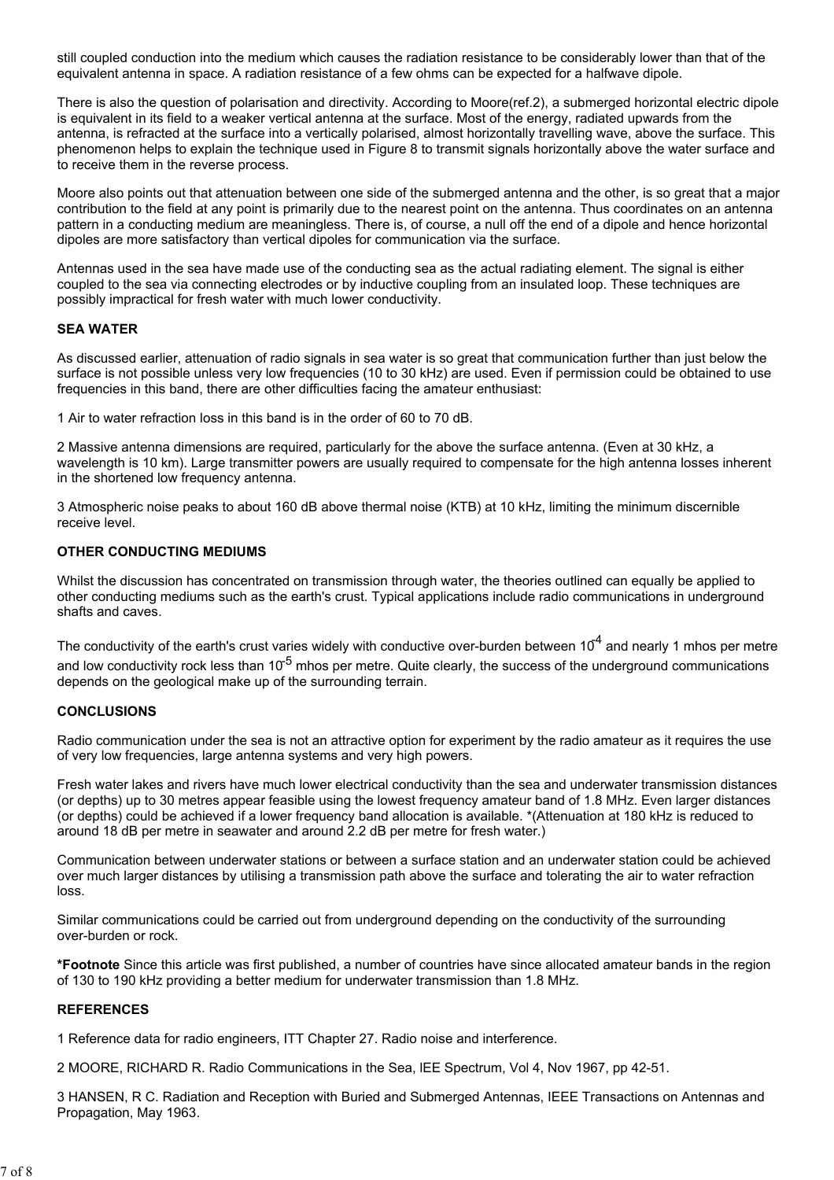still coupled conduction into the medium which causes the radiation resistance to be considerably lower than that of the equivalent antenna in space. A radiation resistance of a few ohms can be expected for a halfwave dipole.

There is also the question of polarisation and directivity. According to Moore(ref.2), a submerged horizontal electric dipole is equivalent in its field to a weaker vertical antenna at the surface. Most of the energy, radiated upwards from the antenna, is refracted at the surface into a vertically polarised, almost horizontally travelling wave, above the surface. This phenomenon helps to explain the technique used in Figure 8 to transmit signals horizontally above the water surface and to receive them in the reverse process.

Moore also points out that attenuation between one side of the submerged antenna and the other, is so great that a major contribution to the field at any point is primarily due to the nearest point on the antenna. Thus coordinates on an antenna pattern in a conducting medium are meaningless. There is, of course, a null off the end of a dipole and hence horizontal dipoles are more satisfactory than vertical dipoles for communication via the surface.

Antennas used in the sea have made use of the conducting sea as the actual radiating element. The signal is either coupled to the sea via connecting electrodes or by inductive coupling from an insulated loop. These techniques are possibly impractical for fresh water with much lower conductivity.

#### SEA WATER

As discussed earlier, attenuation of radio signals in sea water is so great that communication further than just below the surface is not possible unless very low frequencies (10 to 30 kHz) are used. Even if permission could be obtained to use frequencies in this band, there are other difficulties facing the amateur enthusiast:

1 Air to water refraction loss in this band is in the order of 60 to 70 dB.

2 Massive antenna dimensions are required, particularly for the above the surface antenna. (Even at 30 kHz, a wavelength is 10 km). Large transmitter powers are usually required to compensate for the high antenna losses inherent in the shortened low frequency antenna.

3 Atmospheric noise peaks to about 160 dB above thermal noise (KTB) at 10 kHz, limiting the minimum discernible receive level.

### OTHER CONDUCTING MEDIUMS

Whilst the discussion has concentrated on transmission through water, the theories outlined can equally be applied to other conducting mediums such as the earth's crust. Typical applications include radio communications in underground shafts and caves.

The conductivity of the earth's crust varies widely with conductive over-burden between  $10<sup>4</sup>$  and nearly 1 mhos per metre and low conductivity rock less than  $10^{-5}$  mhos per metre. Quite clearly, the success of the underground communications depends on the geological make up of the surrounding terrain.

#### **CONCLUSIONS**

Radio communication under the sea is not an attractive option for experiment by the radio amateur as it requires the use of very low frequencies, large antenna systems and very high powers.

Fresh water lakes and rivers have much lower electrical conductivity than the sea and underwater transmission distances (or depths) up to 30 metres appear feasible using the lowest frequency amateur band of 1.8 MHz. Even larger distances (or depths) could be achieved if a lower frequency band allocation is available. \*(Attenuation at 180 kHz is reduced to around 18 dB per metre in seawater and around 2.2 dB per metre for fresh water.)

Communication between underwater stations or between a surface station and an underwater station could be achieved over much larger distances by utilising a transmission path above the surface and tolerating the air to water refraction loss.

Similar communications could be carried out from underground depending on the conductivity of the surrounding over-burden or rock.

\*Footnote Since this article was first published, a number of countries have since allocated amateur bands in the region of 130 to 190 kHz providing a better medium for underwater transmission than 1.8 MHz.

#### REFERENCES

1 Reference data for radio engineers, ITT Chapter 27. Radio noise and interference.

2 MOORE, RICHARD R. Radio Communications in the Sea, lEE Spectrum, Vol 4, Nov 1967, pp 42-51.

3 HANSEN, R C. Radiation and Reception with Buried and Submerged Antennas, IEEE Transactions on Antennas and Propagation, May 1963.